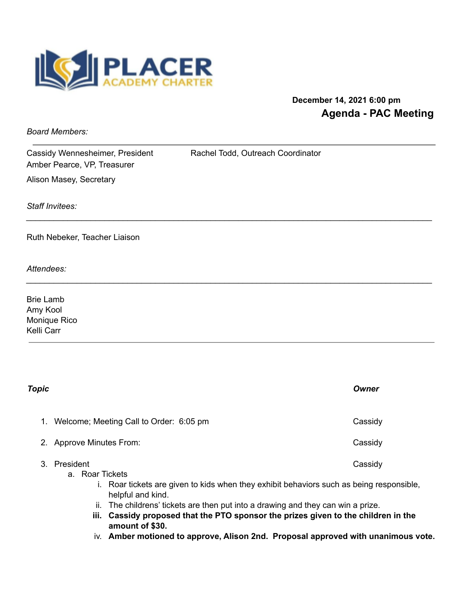

## **December 14, 2021 6:00 pm Agenda - PAC Meeting**

*Board Members:*

Cassidy Wennesheimer, President Rachel Todd, Outreach Coordinator Amber Pearce, VP, Treasurer Alison Masey, Secretary

*\_\_\_\_\_\_\_\_\_\_\_\_\_\_\_\_\_\_\_\_\_\_\_\_\_\_\_\_\_\_\_\_\_\_\_\_\_\_\_\_\_\_\_\_\_\_\_\_\_\_\_\_\_\_\_\_\_\_\_\_\_\_\_\_\_\_\_\_\_\_\_\_\_\_\_\_\_\_\_\_\_\_\_\_\_\_\_\_*

*\_\_\_\_\_\_\_\_\_\_\_\_\_\_\_\_\_\_\_\_\_\_\_\_\_\_\_\_\_\_\_\_\_\_\_\_\_\_\_\_\_\_\_\_\_\_\_\_\_\_\_\_\_\_\_\_\_\_\_\_\_\_\_\_\_\_\_\_\_\_\_\_\_\_\_\_\_\_\_\_\_\_\_\_\_\_\_\_*

*Staff Invitees:*

Ruth Nebeker, Teacher Liaison

*Attendees:*

Brie Lamb Amy Kool Monique Rico Kelli Carr

| Cassidy                                                                                                                                                                                                                                                                                                                                                |
|--------------------------------------------------------------------------------------------------------------------------------------------------------------------------------------------------------------------------------------------------------------------------------------------------------------------------------------------------------|
| Cassidy                                                                                                                                                                                                                                                                                                                                                |
| Cassidy<br>Roar tickets are given to kids when they exhibit behaviors such as being responsible,<br>The childrens' tickets are then put into a drawing and they can win a prize.<br>Cassidy proposed that the PTO sponsor the prizes given to the children in the<br>iv. Amber motioned to approve, Alison 2nd. Proposal approved with unanimous vote. |
|                                                                                                                                                                                                                                                                                                                                                        |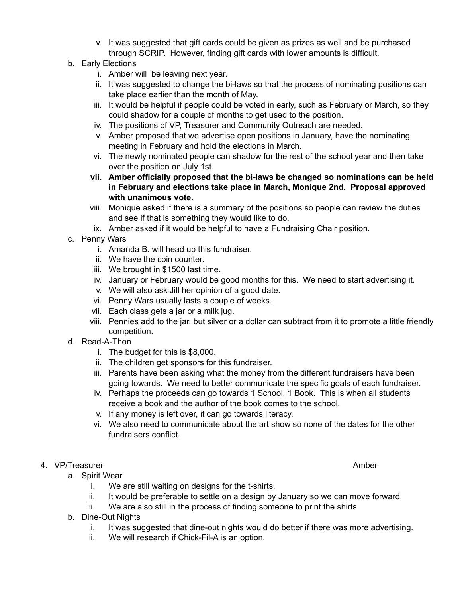- v. It was suggested that gift cards could be given as prizes as well and be purchased through SCRIP. However, finding gift cards with lower amounts is difficult.
- b. Early Elections
	- i. Amber will be leaving next year.
	- ii. It was suggested to change the bi-laws so that the process of nominating positions can take place earlier than the month of May.
	- iii. It would be helpful if people could be voted in early, such as February or March, so they could shadow for a couple of months to get used to the position.
	- iv. The positions of VP, Treasurer and Community Outreach are needed.
	- v. Amber proposed that we advertise open positions in January, have the nominating meeting in February and hold the elections in March.
	- vi. The newly nominated people can shadow for the rest of the school year and then take over the position on July 1st.
	- **vii. Amber officially proposed that the bi-laws be changed so nominations can be held in February and elections take place in March, Monique 2nd. Proposal approved with unanimous vote.**
	- viii. Monique asked if there is a summary of the positions so people can review the duties and see if that is something they would like to do.
	- ix. Amber asked if it would be helpful to have a Fundraising Chair position.
- c. Penny Wars
	- i. Amanda B. will head up this fundraiser.
	- ii. We have the coin counter.
	- iii. We brought in \$1500 last time.
	- iv. January or February would be good months for this. We need to start advertising it.
	- v. We will also ask Jill her opinion of a good date.
	- vi. Penny Wars usually lasts a couple of weeks.
	- vii. Each class gets a jar or a milk jug.
	- viii. Pennies add to the jar, but silver or a dollar can subtract from it to promote a little friendly competition.
- d. Read-A-Thon
	- i. The budget for this is \$8,000.
	- ii. The children get sponsors for this fundraiser.
	- iii. Parents have been asking what the money from the different fundraisers have been going towards. We need to better communicate the specific goals of each fundraiser.
	- iv. Perhaps the proceeds can go towards 1 School, 1 Book. This is when all students receive a book and the author of the book comes to the school.
	- v. If any money is left over, it can go towards literacy.
	- vi. We also need to communicate about the art show so none of the dates for the other fundraisers conflict.

## 4. VP/Treasurer Amber Amber Amber Amber Amber Amber Amber Amber Amber Amber Amber Amber Amber Amber Amber Amber

- a. Spirit Wear
	- i. We are still waiting on designs for the t-shirts.
	- ii. It would be preferable to settle on a design by January so we can move forward.
	- iii. We are also still in the process of finding someone to print the shirts.
- b. Dine-Out Nights
	- i. It was suggested that dine-out nights would do better if there was more advertising.
	- ii. We will research if Chick-Fil-A is an option.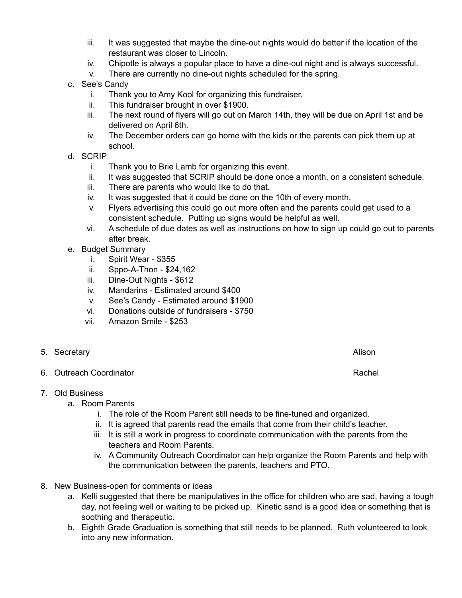- iii. It was suggested that maybe the dine-out nights would do better if the location of the restaurant was closer to Lincoln.
- iv. Chipotle is always a popular place to have a dine-out night and is always successful.
- v. There are currently no dine-out nights scheduled for the spring.
- c. See's Candy
	- i. Thank you to Amy Kool for organizing this fundraiser.
	- ii. This fundraiser brought in over \$1900.
	- iii. The next round of flyers will go out on March 14th, they will be due on April 1st and be delivered on April 6th.
	- iv. The December orders can go home with the kids or the parents can pick them up at school.
- d. SCRIP
	- i. Thank you to Brie Lamb for organizing this event.
	- ii. It was suggested that SCRIP should be done once a month, on a consistent schedule.
	- iii. There are parents who would like to do that.
	- iv. It was suggested that it could be done on the 10th of every month.
	- v. Flyers advertising this could go out more often and the parents could get used to a consistent schedule. Putting up signs would be helpful as well.
	- vi. A schedule of due dates as well as instructions on how to sign up could go out to parents after break.
- e. Budget Summary
	- i. Spirit Wear \$355
	- ii. Sppo-A-Thon \$24,162
	- iii. Dine-Out Nights \$612
	- iv. Mandarins Estimated around \$400
	- v. See's Candy Estimated around \$1900
	- vi. Donations outside of fundraisers \$750
	- vii. Amazon Smile \$253
- 5. Secretary **Alison**
- 6. Outreach Coordinator **Rachell** School and The Coordinator **Rachell** School and Rachell Rachell Rachell Rachell Rachell Rachell Rachell Rachell Rachell Rachell Rachell Rachell Rachell Rachell Rachell Rachell Rachell Rach
- 7. Old Business
	- a. Room Parents
		- i. The role of the Room Parent still needs to be fine-tuned and organized.
		- ii. It is agreed that parents read the emails that come from their child's teacher.
		- iii. It is still a work in progress to coordinate communication with the parents from the teachers and Room Parents.
		- iv. A Community Outreach Coordinator can help organize the Room Parents and help with the communication between the parents, teachers and PTO.
- 8. New Business-open for comments or ideas
	- a. Kelli suggested that there be manipulatives in the office for children who are sad, having a tough day, not feeling well or waiting to be picked up. Kinetic sand is a good idea or something that is soothing and therapeutic.
	- b. Eighth Grade Graduation is something that still needs to be planned. Ruth volunteered to look into any new information.